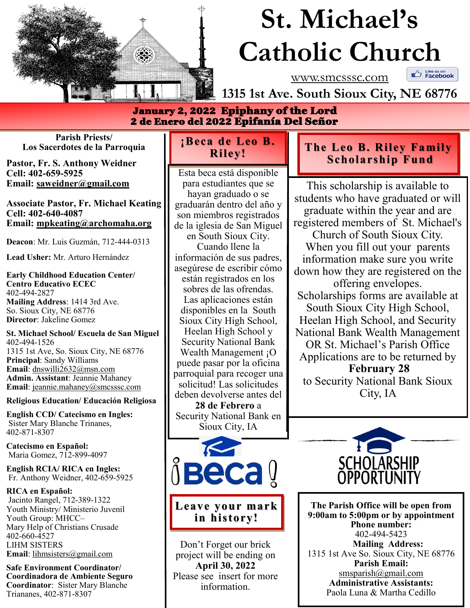

# **St. Michael's Catholic Church**

**Building Like us on** 

**1315 1st Ave. South Sioux City, NE 68776**

www.smcsssc.com

#### January 2, 2022 Epiphany of the Lord 2 de Enero del 2022 Epifanía Del Señor

**Parish Priests/ Los Sacerdotes de la Parroquia** 

**Pastor, Fr. S. Anthony Weidner Cell: 402-659-5925 Email: saweidner@gmail.com** 

**Associate Pastor, Fr. Michael Keating Cell: 402-640-4087 Email: mpkeating@archomaha.org** 

**Deacon**: Mr. Luis Guzmán, 712-444-0313

**Lead Usher:** Mr. Arturo Hernández

#### **Early Childhood Education Center/ Centro Educativo ECEC** 402-494-2827 **Mailing Address**: 1414 3rd Ave. So. Sioux City, NE 68776

**Director**: Jakeline Gomez

**St. Michael School/ Escuela de San Miguel** 402-494-1526 1315 1st Ave, So. Sioux City, NE 68776 **Principal**: Sandy Williams **Email**: dnswilli2632@msn.com **Admin. Assistant**: Jeannie Mahaney **Email**: jeannie.mahaney@smcsssc.com

#### **Religious Education/ Educación Religiosa**

**English CCD/ Catecismo en Ingles:** Sister Mary Blanche Trinanes, 402-871-8307

**Catecismo en Español:** Maria Gomez, 712-899-4097

**English RCIA/ RICA en Ingles:** Fr. Anthony Weidner, 402-659-5925

**RICA en Español:** Jacinto Rangel, 712-389-1322 Youth Ministry/ Ministerio Juvenil Youth Group: MHCC– Mary Help of Christians Crusade 402-660-4527 LIHM SISTERS **Email**: lihmsisters@gmail.com

**Safe Environment Coordinator/ Coordinadora de Ambiente Seguro Coordinator**: Sister Mary Blanche Triananes, 402-871-8307

### **¡Beca de Leo B. Riley!**

Esta beca está disponible para estudiantes que se hayan graduado o se graduarán dentro del año y son miembros registrados de la iglesia de San Miguel en South Sioux City. Cuando llene la información de sus padres, asegúrese de escribir cómo están registrados en los sobres de las ofrendas. Las aplicaciones están disponibles en la South Sioux City High School, Heelan High School y Security National Bank Wealth Management ¡O puede pasar por la oficina parroquial para recoger una solicitud! Las solicitudes deben devolverse antes del

**28 de Febrero** a Security National Bank en Sioux City, IA



#### **Leave your mark in history!**

Don't Forget our brick project will be ending on **April 30, 2022** Please see insert for more information.

## **The Leo B. Riley Family Scholarship Fund**

This scholarship is available to students who have graduated or will graduate within the year and are registered members of St. Michael's Church of South Sioux City. When you fill out your parents information make sure you write down how they are registered on the offering envelopes. Scholarships forms are available at South Sioux City High School, Heelan High School, and Security National Bank Wealth Management OR St. Michael's Parish Office Applications are to be returned by **February 28**  to Security National Bank Sioux City, IA



**The Parish Office will be open from 9:00am to 5:00pm or by appointment Phone number:**  402-494-5423 **Mailing Address:**  1315 1st Ave So. Sioux City, NE 68776 **Parish Email:**  smsparish@gmail.com **Administrative Assistants:**  Paola Luna & Martha Cedillo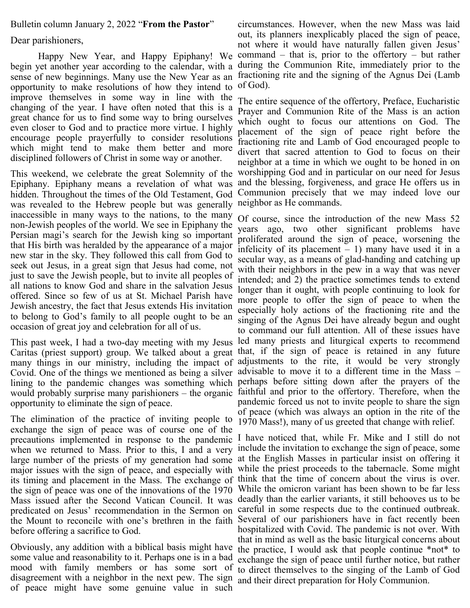Bulletin column January 2, 2022 "**From the Pastor**"

Dear parishioners,

Happy New Year, and Happy Epiphany! We begin yet another year according to the calendar, with a during the Communion Rite, immediately prior to the sense of new beginnings. Many use the New Year as an opportunity to make resolutions of how they intend to of God). improve themselves in some way in line with the changing of the year. I have often noted that this is a great chance for us to find some way to bring ourselves even closer to God and to practice more virtue. I highly encourage people prayerfully to consider resolutions which might tend to make them better and more disciplined followers of Christ in some way or another.

Epiphany. Epiphany means a revelation of what was hidden. Throughout the times of the Old Testament, God was revealed to the Hebrew people but was generally inaccessible in many ways to the nations, to the many non-Jewish peoples of the world. We see in Epiphany the Persian magi's search for the Jewish king so important that His birth was heralded by the appearance of a major new star in the sky. They followed this call from God to seek out Jesus, in a great sign that Jesus had come, not just to save the Jewish people, but to invite all peoples of all nations to know God and share in the salvation Jesus offered. Since so few of us at St. Michael Parish have Jewish ancestry, the fact that Jesus extends His invitation to belong to God's family to all people ought to be an occasion of great joy and celebration for all of us.

This past week, I had a two-day meeting with my Jesus Caritas (priest support) group. We talked about a great many things in our ministry, including the impact of adjustments to the rite, it would be very strongly Covid. One of the things we mentioned as being a silver lining to the pandemic changes was something which perhaps before sitting down after the prayers of the would probably surprise many parishioners – the organic faithful and prior to the offertory. Therefore, when the opportunity to eliminate the sign of peace.

The elimination of the practice of inviting people to exchange the sign of peace was of course one of the precautions implemented in response to the pandemic I have noticed that, while Fr. Mike and I still do not when we returned to Mass. Prior to this, I and a very include the invitation to exchange the sign of peace, some large number of the priests of my generation had some at the English Masses in particular insist on offering it major issues with the sign of peace, and especially with its timing and placement in the Mass. The exchange of think that the time of concern about the virus is over. the sign of peace was one of the innovations of the 1970 Mass issued after the Second Vatican Council. It was deadly than the earlier variants, it still behooves us to be predicated on Jesus' recommendation in the Sermon on the Mount to reconcile with one's brethren in the faith Several of our parishioners have in fact recently been before offering a sacrifice to God.

Obviously, any addition with a biblical basis might have some value and reasonability to it. Perhaps one is in a bad mood with family members or has some sort of disagreement with a neighbor in the next pew. The sign of peace might have some genuine value in such

circumstances. However, when the new Mass was laid out, its planners inexplicably placed the sign of peace, not where it would have naturally fallen given Jesus' command – that is, prior to the offertory – but rather fractioning rite and the signing of the Agnus Dei (Lamb

This weekend, we celebrate the great Solemnity of the worshipping God and in particular on our need for Jesus The entire sequence of the offertory, Preface, Eucharistic Prayer and Communion Rite of the Mass is an action which ought to focus our attentions on God. The placement of the sign of peace right before the fractioning rite and Lamb of God encouraged people to divert that sacred attention to God to focus on their neighbor at a time in which we ought to be honed in on and the blessing, forgiveness, and grace He offers us in Communion precisely that we may indeed love our neighbor as He commands.

> Of course, since the introduction of the new Mass 52 years ago, two other significant problems have proliferated around the sign of peace, worsening the infelicity of its placement  $-1$ ) many have used it in a secular way, as a means of glad-handing and catching up with their neighbors in the pew in a way that was never intended; and 2) the practice sometimes tends to extend longer than it ought, with people continuing to look for more people to offer the sign of peace to when the especially holy actions of the fractioning rite and the singing of the Agnus Dei have already begun and ought to command our full attention. All of these issues have led many priests and liturgical experts to recommend that, if the sign of peace is retained in any future advisable to move it to a different time in the Mass – pandemic forced us not to invite people to share the sign of peace (which was always an option in the rite of the 1970 Mass!), many of us greeted that change with relief.

> while the priest proceeds to the tabernacle. Some might While the omicron variant has been shown to be far less careful in some respects due to the continued outbreak. hospitalized with Covid. The pandemic is not over. With that in mind as well as the basic liturgical concerns about the practice, I would ask that people continue \*not\* to exchange the sign of peace until further notice, but rather to direct themselves to the singing of the Lamb of God and their direct preparation for Holy Communion.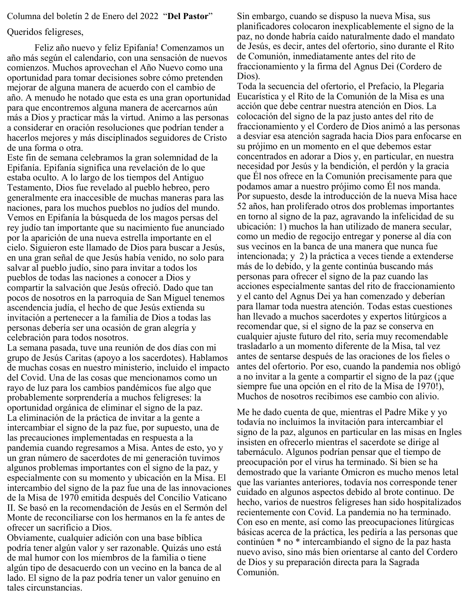Columna del boletín 2 de Enero del 2022 "**Del Pastor**"

Queridos feligreses,

Feliz año nuevo y feliz Epifanía! Comenzamos un año más según el calendario, con una sensación de nuevos comienzos. Muchos aprovechan el Año Nuevo como una oportunidad para tomar decisiones sobre cómo pretenden mejorar de alguna manera de acuerdo con el cambio de año. A menudo he notado que esta es una gran oportunidad para que encontremos alguna manera de acercarnos aún más a Dios y practicar más la virtud. Animo a las personas a considerar en oración resoluciones que podrían tender a hacerlos mejores y más disciplinados seguidores de Cristo de una forma o otra.

Este fin de semana celebramos la gran solemnidad de la Epifanía. Epifanía significa una revelación de lo que estaba oculto. A lo largo de los tiempos del Antiguo Testamento, Dios fue revelado al pueblo hebreo, pero generalmente era inaccesible de muchas maneras para las naciones, para los muchos pueblos no judíos del mundo. Vemos en Epifanía la búsqueda de los magos persas del rey judío tan importante que su nacimiento fue anunciado por la aparición de una nueva estrella importante en el cielo. Siguieron este llamado de Dios para buscar a Jesús, en una gran señal de que Jesús había venido, no solo para salvar al pueblo judío, sino para invitar a todos los pueblos de todas las naciones a conocer a Dios y compartir la salvación que Jesús ofreció. Dado que tan pocos de nosotros en la parroquia de San Miguel tenemos ascendencia judía, el hecho de que Jesús extienda su invitación a pertenecer a la familia de Dios a todas las personas debería ser una ocasión de gran alegría y celebración para todos nosotros.

La semana pasada, tuve una reunión de dos días con mi grupo de Jesús Caritas (apoyo a los sacerdotes). Hablamos de muchas cosas en nuestro ministerio, incluido el impacto del Covid. Una de las cosas que mencionamos como un rayo de luz para los cambios pandémicos fue algo que probablemente sorprendería a muchos feligreses: la oportunidad orgánica de eliminar el signo de la paz. La eliminación de la práctica de invitar a la gente a intercambiar el signo de la paz fue, por supuesto, una de las precauciones implementadas en respuesta a la pandemia cuando regresamos a Misa. Antes de esto, yo y un gran número de sacerdotes de mi generación tuvimos algunos problemas importantes con el signo de la paz, y especialmente con su momento y ubicación en la Misa. El intercambio del signo de la paz fue una de las innovaciones de la Misa de 1970 emitida después del Concilio Vaticano II. Se basó en la recomendación de Jesús en el Sermón del Monte de reconciliarse con los hermanos en la fe antes de ofrecer un sacrificio a Dios.

Obviamente, cualquier adición con una base bíblica podría tener algún valor y ser razonable. Quizás uno está de mal humor con los miembros de la familia o tiene algún tipo de desacuerdo con un vecino en la banca de al lado. El signo de la paz podría tener un valor genuino en tales circunstancias.

Sin embargo, cuando se dispuso la nueva Misa, sus planificadores colocaron inexplicablemente el signo de la paz, no donde habría caído naturalmente dado el mandato de Jesús, es decir, antes del ofertorio, sino durante el Rito de Comunión, inmediatamente antes del rito de fraccionamiento y la firma del Agnus Dei (Cordero de Dios).

Toda la secuencia del ofertorio, el Prefacio, la Plegaria Eucarística y el Rito de la Comunión de la Misa es una acción que debe centrar nuestra atención en Dios. La colocación del signo de la paz justo antes del rito de fraccionamiento y el Cordero de Dios animó a las personas a desviar esa atención sagrada hacia Dios para enfocarse en su prójimo en un momento en el que debemos estar concentrados en adorar a Dios y, en particular, en nuestra necesidad por Jesús y la bendición, el perdón y la gracia que Él nos ofrece en la Comunión precisamente para que podamos amar a nuestro prójimo como Él nos manda. Por supuesto, desde la introducción de la nueva Misa hace 52 años, han proliferado otros dos problemas importantes en torno al signo de la paz, agravando la infelicidad de su ubicación: 1) muchos la han utilizado de manera secular, como un medio de regocijo entregar y ponerse al día con sus vecinos en la banca de una manera que nunca fue intencionada; y 2) la práctica a veces tiende a extenderse más de lo debido, y la gente continúa buscando más personas para ofrecer el signo de la paz cuando las acciones especialmente santas del rito de fraccionamiento y el canto del Agnus Dei ya han comenzado y deberían para llamar toda nuestra atención. Todas estas cuestiones han llevado a muchos sacerdotes y expertos litúrgicos a recomendar que, si el signo de la paz se conserva en cualquier ajuste futuro del rito, sería muy recomendable trasladarlo a un momento diferente de la Misa, tal vez antes de sentarse después de las oraciones de los fieles o antes del ofertorio. Por eso, cuando la pandemia nos obligó a no invitar a la gente a compartir el signo de la paz (¡que siempre fue una opción en el rito de la Misa de 1970!), Muchos de nosotros recibimos ese cambio con alivio.

Me he dado cuenta de que, mientras el Padre Mike y yo todavía no incluimos la invitación para intercambiar el signo de la paz, algunos en particular en las misas en Ingles insisten en ofrecerlo mientras el sacerdote se dirige al tabernáculo. Algunos podrían pensar que el tiempo de preocupación por el virus ha terminado. Si bien se ha demostrado que la variante Omicron es mucho menos letal que las variantes anteriores, todavía nos corresponde tener cuidado en algunos aspectos debido al brote continuo. De hecho, varios de nuestros feligreses han sido hospitalizados recientemente con Covid. La pandemia no ha terminado. Con eso en mente, así como las preocupaciones litúrgicas básicas acerca de la práctica, les pediría a las personas que continúen \* no \* intercambiando el signo de la paz hasta nuevo aviso, sino más bien orientarse al canto del Cordero de Dios y su preparación directa para la Sagrada Comunión.